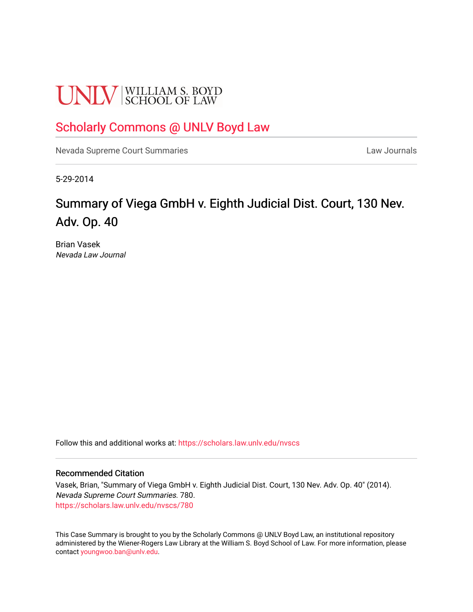# **UNLV** SCHOOL OF LAW

### [Scholarly Commons @ UNLV Boyd Law](https://scholars.law.unlv.edu/)

[Nevada Supreme Court Summaries](https://scholars.law.unlv.edu/nvscs) **Law Journals** Law Journals

5-29-2014

## Summary of Viega GmbH v. Eighth Judicial Dist. Court, 130 Nev. Adv. Op. 40

Brian Vasek Nevada Law Journal

Follow this and additional works at: [https://scholars.law.unlv.edu/nvscs](https://scholars.law.unlv.edu/nvscs?utm_source=scholars.law.unlv.edu%2Fnvscs%2F780&utm_medium=PDF&utm_campaign=PDFCoverPages)

#### Recommended Citation

Vasek, Brian, "Summary of Viega GmbH v. Eighth Judicial Dist. Court, 130 Nev. Adv. Op. 40" (2014). Nevada Supreme Court Summaries. 780. [https://scholars.law.unlv.edu/nvscs/780](https://scholars.law.unlv.edu/nvscs/780?utm_source=scholars.law.unlv.edu%2Fnvscs%2F780&utm_medium=PDF&utm_campaign=PDFCoverPages)

This Case Summary is brought to you by the Scholarly Commons @ UNLV Boyd Law, an institutional repository administered by the Wiener-Rogers Law Library at the William S. Boyd School of Law. For more information, please contact [youngwoo.ban@unlv.edu](mailto:youngwoo.ban@unlv.edu).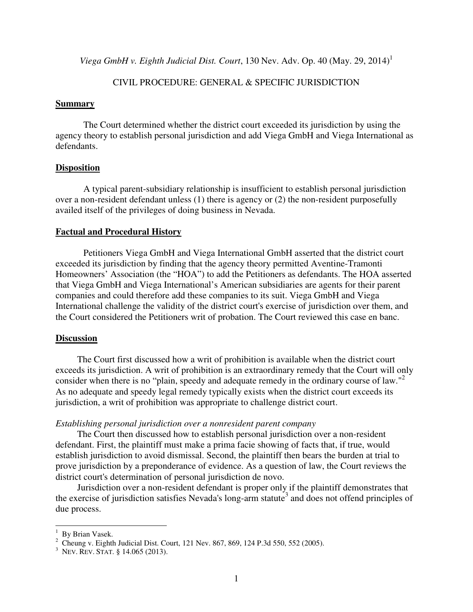*Viega GmbH v. Eighth Judicial Dist. Court*, 130 Nev. Adv. Op. 40 (May. 29, 2014)<sup>1</sup>

#### CIVIL PROCEDURE: GENERAL & SPECIFIC JURISDICTION

#### **Summary**

The Court determined whether the district court exceeded its jurisdiction by using the agency theory to establish personal jurisdiction and add Viega GmbH and Viega International as defendants.

#### **Disposition**

A typical parent-subsidiary relationship is insufficient to establish personal jurisdiction over a non-resident defendant unless (1) there is agency or (2) the non-resident purposefully availed itself of the privileges of doing business in Nevada.

#### **Factual and Procedural History**

Petitioners Viega GmbH and Viega International GmbH asserted that the district court exceeded its jurisdiction by finding that the agency theory permitted Aventine-Tramonti Homeowners' Association (the "HOA") to add the Petitioners as defendants. The HOA asserted that Viega GmbH and Viega International's American subsidiaries are agents for their parent companies and could therefore add these companies to its suit. Viega GmbH and Viega International challenge the validity of the district court's exercise of jurisdiction over them, and the Court considered the Petitioners writ of probation. The Court reviewed this case en banc.

#### **Discussion**

 The Court first discussed how a writ of prohibition is available when the district court exceeds its jurisdiction. A writ of prohibition is an extraordinary remedy that the Court will only consider when there is no "plain, speedy and adequate remedy in the ordinary course of law."<sup>2</sup> As no adequate and speedy legal remedy typically exists when the district court exceeds its jurisdiction, a writ of prohibition was appropriate to challenge district court.

#### *Establishing personal jurisdiction over a nonresident parent company*

 The Court then discussed how to establish personal jurisdiction over a non-resident defendant. First, the plaintiff must make a prima facie showing of facts that, if true, would establish jurisdiction to avoid dismissal. Second, the plaintiff then bears the burden at trial to prove jurisdiction by a preponderance of evidence. As a question of law, the Court reviews the district court's determination of personal jurisdiction de novo.

 Jurisdiction over a non-resident defendant is proper only if the plaintiff demonstrates that the exercise of jurisdiction satisfies Nevada's long-arm statute<sup>3</sup> and does not offend principles of due process.

 $\overline{a}$ 

<sup>&</sup>lt;sup>1</sup> By Brian Vasek.

<sup>&</sup>lt;sup>2</sup> Cheung v. Eighth Judicial Dist. Court, 121 Nev. 867, 869, 124 P.3d 550, 552 (2005).

<sup>3</sup> NEV. REV. STAT. § 14.065 (2013).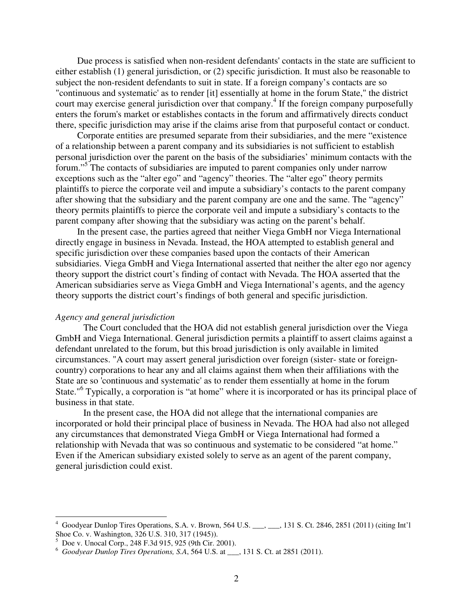Due process is satisfied when non-resident defendants' contacts in the state are sufficient to either establish (1) general jurisdiction, or (2) specific jurisdiction. It must also be reasonable to subject the non-resident defendants to suit in state. If a foreign company's contacts are so "continuous and systematic' as to render [it] essentially at home in the forum State," the district court may exercise general jurisdiction over that company.<sup>4</sup> If the foreign company purposefully enters the forum's market or establishes contacts in the forum and affirmatively directs conduct there, specific jurisdiction may arise if the claims arise from that purposeful contact or conduct.

 Corporate entities are presumed separate from their subsidiaries, and the mere "existence of a relationship between a parent company and its subsidiaries is not sufficient to establish personal jurisdiction over the parent on the basis of the subsidiaries' minimum contacts with the forum."<sup>5</sup> The contacts of subsidiaries are imputed to parent companies only under narrow exceptions such as the "alter ego" and "agency" theories. The "alter ego" theory permits plaintiffs to pierce the corporate veil and impute a subsidiary's contacts to the parent company after showing that the subsidiary and the parent company are one and the same. The "agency" theory permits plaintiffs to pierce the corporate veil and impute a subsidiary's contacts to the parent company after showing that the subsidiary was acting on the parent's behalf.

 In the present case, the parties agreed that neither Viega GmbH nor Viega International directly engage in business in Nevada. Instead, the HOA attempted to establish general and specific jurisdiction over these companies based upon the contacts of their American subsidiaries. Viega GmbH and Viega International asserted that neither the alter ego nor agency theory support the district court's finding of contact with Nevada. The HOA asserted that the American subsidiaries serve as Viega GmbH and Viega International's agents, and the agency theory supports the district court's findings of both general and specific jurisdiction.

#### *Agency and general jurisdiction*

The Court concluded that the HOA did not establish general jurisdiction over the Viega GmbH and Viega International. General jurisdiction permits a plaintiff to assert claims against a defendant unrelated to the forum, but this broad jurisdiction is only available in limited circumstances. "A court may assert general jurisdiction over foreign (sister- state or foreigncountry) corporations to hear any and all claims against them when their affiliations with the State are so 'continuous and systematic' as to render them essentially at home in the forum State."<sup>6</sup> Typically, a corporation is "at home" where it is incorporated or has its principal place of business in that state.

In the present case, the HOA did not allege that the international companies are incorporated or hold their principal place of business in Nevada. The HOA had also not alleged any circumstances that demonstrated Viega GmbH or Viega International had formed a relationship with Nevada that was so continuous and systematic to be considered "at home." Even if the American subsidiary existed solely to serve as an agent of the parent company, general jurisdiction could exist.

 $\overline{a}$ 

<sup>4</sup> Goodyear Dunlop Tires Operations, S.A. v. Brown, 564 U.S. \_\_\_, \_\_\_, 131 S. Ct. 2846, 2851 (2011) (citing Int'l Shoe Co. v. Washington, 326 U.S. 310, 317 (1945)).<br><sup>5</sup> Doe v. Unocal Corp., 248 F.3d 915, 925 (9th Cir. 2001).

<sup>6</sup> *Goodyear Dunlop Tires Operations, S.A*, 564 U.S. at \_\_\_, 131 S. Ct. at 2851 (2011).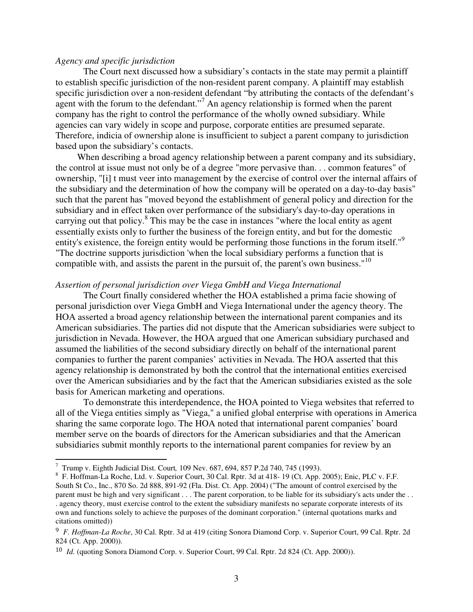#### *Agency and specific jurisdiction*

The Court next discussed how a subsidiary's contacts in the state may permit a plaintiff to establish specific jurisdiction of the non-resident parent company. A plaintiff may establish specific jurisdiction over a non-resident defendant "by attributing the contacts of the defendant's agent with the forum to the defendant."<sup>7</sup> An agency relationship is formed when the parent company has the right to control the performance of the wholly owned subsidiary. While agencies can vary widely in scope and purpose, corporate entities are presumed separate. Therefore, indicia of ownership alone is insufficient to subject a parent company to jurisdiction based upon the subsidiary's contacts.

 When describing a broad agency relationship between a parent company and its subsidiary, the control at issue must not only be of a degree "more pervasive than. . . common features" of ownership, "[i] t must veer into management by the exercise of control over the internal affairs of the subsidiary and the determination of how the company will be operated on a day-to-day basis" such that the parent has "moved beyond the establishment of general policy and direction for the subsidiary and in effect taken over performance of the subsidiary's day-to-day operations in carrying out that policy.<sup>8</sup> This may be the case in instances "where the local entity as agent essentially exists only to further the business of the foreign entity, and but for the domestic entity's existence, the foreign entity would be performing those functions in the forum itself."<sup>9</sup> "The doctrine supports jurisdiction 'when the local subsidiary performs a function that is compatible with, and assists the parent in the pursuit of, the parent's own business."<sup>10</sup>

#### *Assertion of personal jurisdiction over Viega GmbH and Viega International*

The Court finally considered whether the HOA established a prima facie showing of personal jurisdiction over Viega GmbH and Viega International under the agency theory. The HOA asserted a broad agency relationship between the international parent companies and its American subsidiaries. The parties did not dispute that the American subsidiaries were subject to jurisdiction in Nevada. However, the HOA argued that one American subsidiary purchased and assumed the liabilities of the second subsidiary directly on behalf of the international parent companies to further the parent companies' activities in Nevada. The HOA asserted that this agency relationship is demonstrated by both the control that the international entities exercised over the American subsidiaries and by the fact that the American subsidiaries existed as the sole basis for American marketing and operations.

To demonstrate this interdependence, the HOA pointed to Viega websites that referred to all of the Viega entities simply as "Viega," a unified global enterprise with operations in America sharing the same corporate logo. The HOA noted that international parent companies' board member serve on the boards of directors for the American subsidiaries and that the American subsidiaries submit monthly reports to the international parent companies for review by an

 $\overline{a}$ 

<sup>7</sup> Trump v. Eighth Judicial Dist. Court*,* 109 Nev. 687, 694, 857 P.2d 740, 745 (1993).

<sup>&</sup>lt;sup>8</sup> F. Hoffman-La Roche, Ltd. v. Superior Court, 30 Cal. Rptr. 3d at 418-19 (Ct. App. 2005); Enic, PLC v. F.F. South St Co., Inc., 870 So. 2d 888, 891-92 (Fla. Dist. Ct. App. 2004) ("The amount of control exercised by the parent must be high and very significant . . . The parent corporation, to be liable for its subsidiary's acts under the . . . agency theory, must exercise control to the extent the subsidiary manifests no separate corporate interests of its own and functions solely to achieve the purposes of the dominant corporation." (internal quotations marks and citations omitted))

<sup>9</sup> *F. Hoffman-La Roche*, 30 Cal. Rptr. 3d at 419 (citing Sonora Diamond Corp. v. Superior Court, 99 Cal. Rptr. 2d 824 (Ct. App. 2000)).

<sup>10</sup> *Id.* (quoting Sonora Diamond Corp. v. Superior Court, 99 Cal. Rptr. 2d 824 (Ct. App. 2000)).